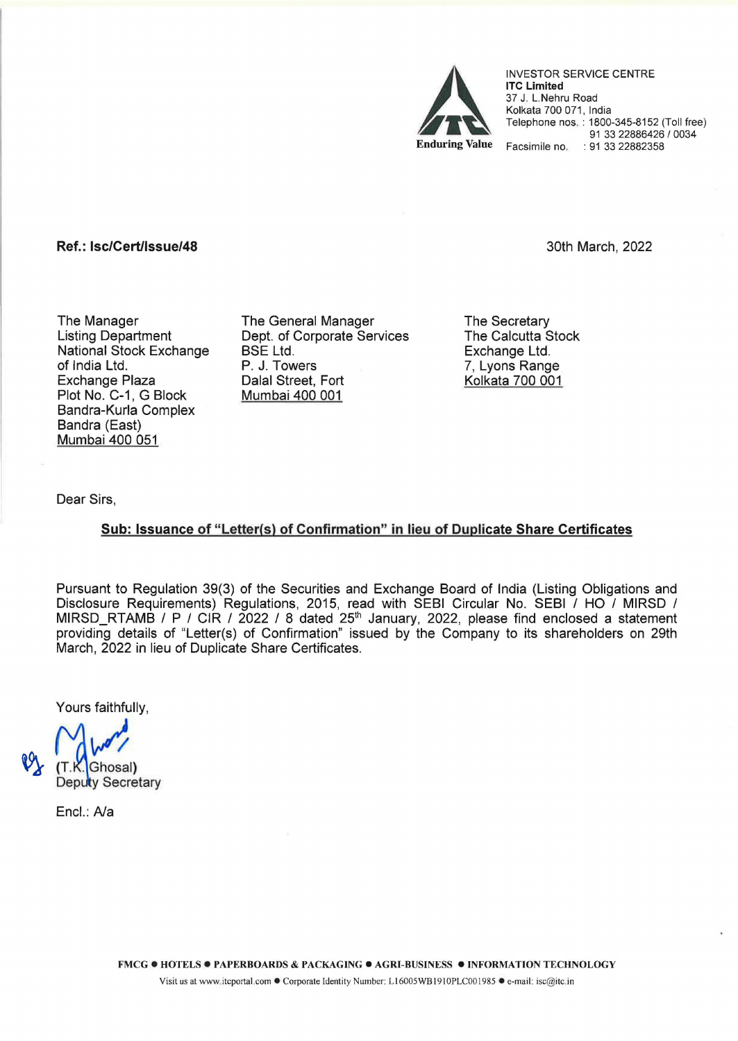

INVESTOR SERVICE CENTRE lTC Limited 37 J. L.Nehru Road Kolkata 700 071, India Telephone nos. : 1800-345-8152 (Toll free) 91 33 22886426 I 0034 Facsimile no. : 91 33 22882358

## Ref.: lsc/Cert/lssue/48

3oth March, 2022

The Manager Listing Department National Stock Exchange of India Ltd. Exchange Plaza Plot No. C-1, G Block Bandra-Kurla Complex Bandra (East) Mumbai 400 051

The General Manager Dept. of Corporate Services BSE Ltd. P. J. Towers Dalal Street, Fort Mumbai 400 001

The Secretary The Calcutta Stock Exchange Ltd. 7, Lyons Range Kolkata 700 001

Dear Sirs,

## Sub: Issuance of "Letter(s) of Confirmation" in lieu of Duplicate Share Certificates

Pursuant to Regulation 39(3) of the Securities and Exchange Board of India (Listing Obligations and Disclosure Requirements) Regulations, 2015, read with SEBI Circular No. SEBI I HO I MIRSD I MIRSD\_RTAMB / P / CIR / 2022 / 8 dated 25<sup>th</sup> January, 2022, please find enclosed a statement providing details of "Letter(s) of Confirmation" issued by the Company to its shareholders on 29th March, 2022 in lieu of Duplicate Share Certificates.

Yours faithfully,

(T.K.<mark>)</mark>Ghosal**)**<br>Deputy Secretary

Encl.: *Na*